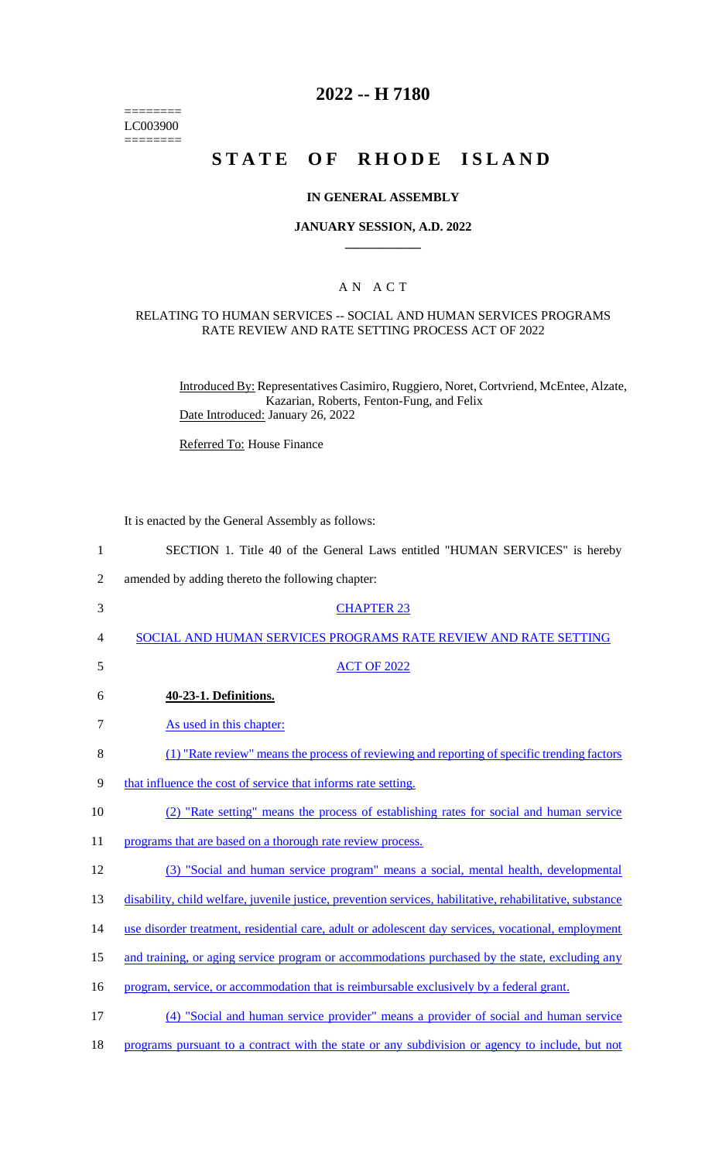======== LC003900  $=$ 

## **2022 -- H 7180**

# **STATE OF RHODE ISLAND**

### **IN GENERAL ASSEMBLY**

## **JANUARY SESSION, A.D. 2022 \_\_\_\_\_\_\_\_\_\_\_\_**

## A N A C T

### RELATING TO HUMAN SERVICES -- SOCIAL AND HUMAN SERVICES PROGRAMS RATE REVIEW AND RATE SETTING PROCESS ACT OF 2022

Introduced By: Representatives Casimiro, Ruggiero, Noret, Cortvriend, McEntee, Alzate, Kazarian, Roberts, Fenton-Fung, and Felix Date Introduced: January 26, 2022

Referred To: House Finance

It is enacted by the General Assembly as follows:

| $\mathbf{1}$   | SECTION 1. Title 40 of the General Laws entitled "HUMAN SERVICES" is hereby                               |
|----------------|-----------------------------------------------------------------------------------------------------------|
| $\overline{2}$ | amended by adding thereto the following chapter:                                                          |
| 3              | <b>CHAPTER 23</b>                                                                                         |
| 4              | SOCIAL AND HUMAN SERVICES PROGRAMS RATE REVIEW AND RATE SETTING                                           |
| 5              | <b>ACT OF 2022</b>                                                                                        |
| 6              | 40-23-1. Definitions.                                                                                     |
| 7              | As used in this chapter:                                                                                  |
| 8              | (1) "Rate review" means the process of reviewing and reporting of specific trending factors               |
| 9              | that influence the cost of service that informs rate setting.                                             |
| 10             | (2) "Rate setting" means the process of establishing rates for social and human service                   |
| 11             | programs that are based on a thorough rate review process.                                                |
| 12             | (3) "Social and human service program" means a social, mental health, developmental                       |
| 13             | disability, child welfare, juvenile justice, prevention services, habilitative, rehabilitative, substance |
| 14             | use disorder treatment, residential care, adult or adolescent day services, vocational, employment        |
| 15             | and training, or aging service program or accommodations purchased by the state, excluding any            |
| 16             | program, service, or accommodation that is reimbursable exclusively by a federal grant.                   |
| 17             | (4) "Social and human service provider" means a provider of social and human service                      |
|                |                                                                                                           |

18 programs pursuant to a contract with the state or any subdivision or agency to include, but not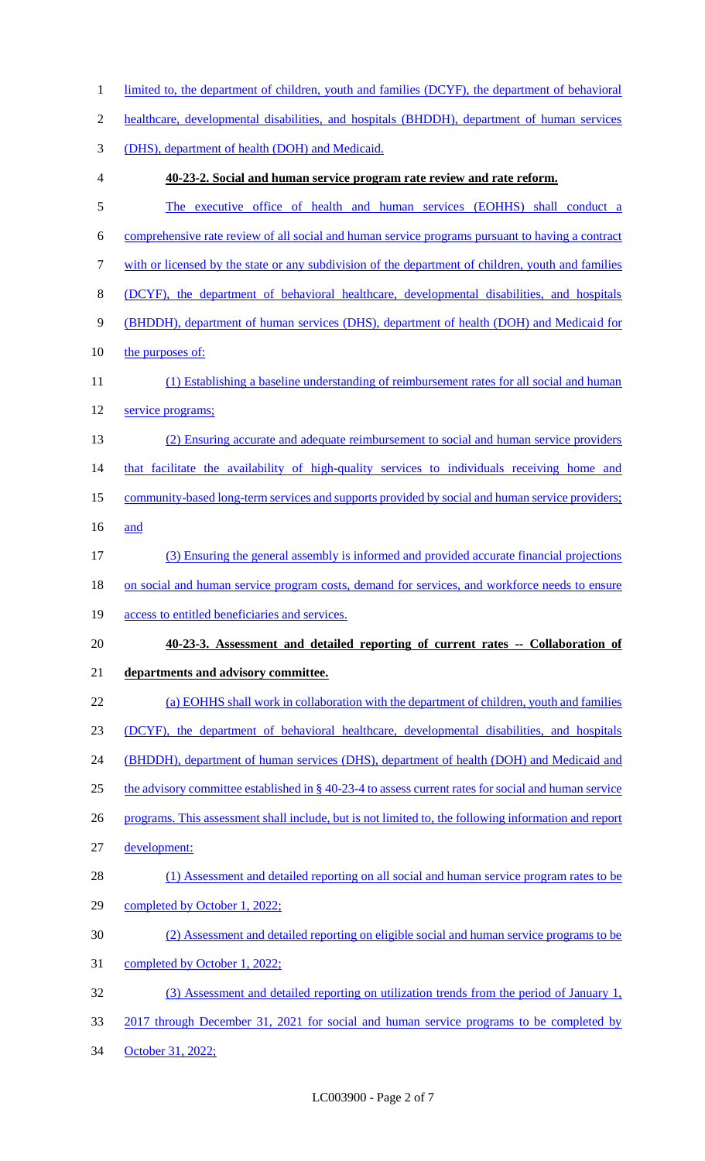| $\mathbf{1}$   | limited to, the department of children, youth and families (DCYF), the department of behavioral      |
|----------------|------------------------------------------------------------------------------------------------------|
| $\overline{2}$ | healthcare, developmental disabilities, and hospitals (BHDDH), department of human services          |
| 3              | (DHS), department of health (DOH) and Medicaid.                                                      |
| $\overline{4}$ | 40-23-2. Social and human service program rate review and rate reform.                               |
| 5              | The executive office of health and human services (EOHHS) shall conduct a                            |
| 6              | comprehensive rate review of all social and human service programs pursuant to having a contract     |
| 7              | with or licensed by the state or any subdivision of the department of children, youth and families   |
| 8              | (DCYF), the department of behavioral healthcare, developmental disabilities, and hospitals           |
| 9              | (BHDDH), department of human services (DHS), department of health (DOH) and Medicaid for             |
| 10             | the purposes of:                                                                                     |
| 11             | (1) Establishing a baseline understanding of reimbursement rates for all social and human            |
| 12             | service programs;                                                                                    |
| 13             | (2) Ensuring accurate and adequate reimbursement to social and human service providers               |
| 14             | that facilitate the availability of high-quality services to individuals receiving home and          |
| 15             | community-based long-term services and supports provided by social and human service providers;      |
| 16             | and                                                                                                  |
| 17             | (3) Ensuring the general assembly is informed and provided accurate financial projections            |
| 18             | on social and human service program costs, demand for services, and workforce needs to ensure        |
| 19             | access to entitled beneficiaries and services.                                                       |
| 20             | 40-23-3. Assessment and detailed reporting of current rates -- Collaboration of                      |
| 21             | departments and advisory committee.                                                                  |
| 22             | (a) EOHHS shall work in collaboration with the department of children, youth and families            |
| 23             | (DCYF), the department of behavioral healthcare, developmental disabilities, and hospitals           |
| 24             | (BHDDH), department of human services (DHS), department of health (DOH) and Medicaid and             |
| 25             | the advisory committee established in § 40-23-4 to assess current rates for social and human service |
| 26             | programs. This assessment shall include, but is not limited to, the following information and report |
| 27             | development:                                                                                         |
| 28             | (1) Assessment and detailed reporting on all social and human service program rates to be            |
| 29             | completed by October 1, 2022;                                                                        |
| 30             | (2) Assessment and detailed reporting on eligible social and human service programs to be            |
| 31             | completed by October 1, 2022;                                                                        |
| 32             | (3) Assessment and detailed reporting on utilization trends from the period of January 1,            |
| 33             | 2017 through December 31, 2021 for social and human service programs to be completed by              |
| 34             | October 31, 2022;                                                                                    |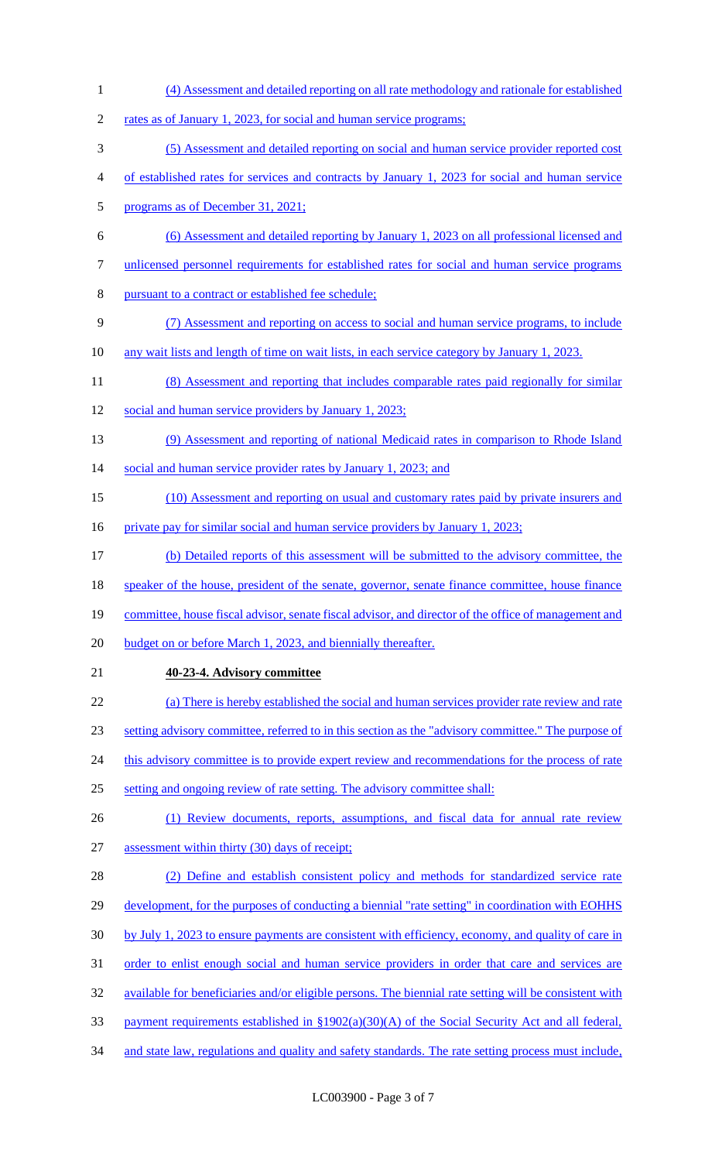(4) Assessment and detailed reporting on all rate methodology and rationale for established 2 rates as of January 1, 2023, for social and human service programs; (5) Assessment and detailed reporting on social and human service provider reported cost of established rates for services and contracts by January 1, 2023 for social and human service programs as of December 31, 2021; (6) Assessment and detailed reporting by January 1, 2023 on all professional licensed and unlicensed personnel requirements for established rates for social and human service programs pursuant to a contract or established fee schedule; (7) Assessment and reporting on access to social and human service programs, to include any wait lists and length of time on wait lists, in each service category by January 1, 2023. 11 (8) Assessment and reporting that includes comparable rates paid regionally for similar 12 social and human service providers by January 1, 2023; (9) Assessment and reporting of national Medicaid rates in comparison to Rhode Island 14 social and human service provider rates by January 1, 2023; and (10) Assessment and reporting on usual and customary rates paid by private insurers and 16 private pay for similar social and human service providers by January 1, 2023; (b) Detailed reports of this assessment will be submitted to the advisory committee, the speaker of the house, president of the senate, governor, senate finance committee, house finance 19 committee, house fiscal advisor, senate fiscal advisor, and director of the office of management and budget on or before March 1, 2023, and biennially thereafter. **40-23-4. Advisory committee** (a) There is hereby established the social and human services provider rate review and rate setting advisory committee, referred to in this section as the "advisory committee." The purpose of 24 this advisory committee is to provide expert review and recommendations for the process of rate setting and ongoing review of rate setting. The advisory committee shall: 26 (1) Review documents, reports, assumptions, and fiscal data for annual rate review assessment within thirty (30) days of receipt; (2) Define and establish consistent policy and methods for standardized service rate development, for the purposes of conducting a biennial "rate setting" in coordination with EOHHS by July 1, 2023 to ensure payments are consistent with efficiency, economy, and quality of care in order to enlist enough social and human service providers in order that care and services are available for beneficiaries and/or eligible persons. The biennial rate setting will be consistent with payment requirements established in §1902(a)(30)(A) of the Social Security Act and all federal, 34 and state law, regulations and quality and safety standards. The rate setting process must include,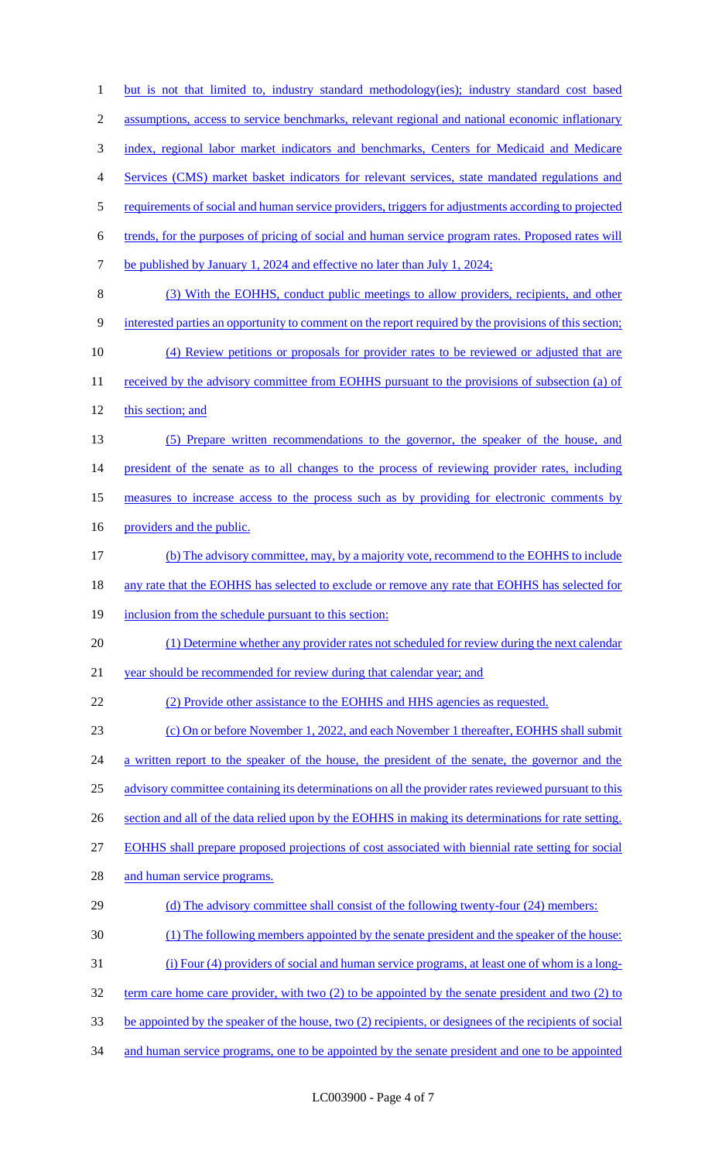but is not that limited to, industry standard methodology(ies); industry standard cost based assumptions, access to service benchmarks, relevant regional and national economic inflationary index, regional labor market indicators and benchmarks, Centers for Medicaid and Medicare Services (CMS) market basket indicators for relevant services, state mandated regulations and requirements of social and human service providers, triggers for adjustments according to projected trends, for the purposes of pricing of social and human service program rates. Proposed rates will 7 be published by January 1, 2024 and effective no later than July 1, 2024; (3) With the EOHHS, conduct public meetings to allow providers, recipients, and other interested parties an opportunity to comment on the report required by the provisions of this section; (4) Review petitions or proposals for provider rates to be reviewed or adjusted that are 11 received by the advisory committee from EOHHS pursuant to the provisions of subsection (a) of this section; and (5) Prepare written recommendations to the governor, the speaker of the house, and president of the senate as to all changes to the process of reviewing provider rates, including 15 measures to increase access to the process such as by providing for electronic comments by 16 providers and the public. (b) The advisory committee, may, by a majority vote, recommend to the EOHHS to include any rate that the EOHHS has selected to exclude or remove any rate that EOHHS has selected for 19 inclusion from the schedule pursuant to this section: (1) Determine whether any provider rates not scheduled for review during the next calendar 21 year should be recommended for review during that calendar year; and (2) Provide other assistance to the EOHHS and HHS agencies as requested. (c) On or before November 1, 2022, and each November 1 thereafter, EOHHS shall submit 24 a written report to the speaker of the house, the president of the senate, the governor and the advisory committee containing its determinations on all the provider rates reviewed pursuant to this 26 section and all of the data relied upon by the EOHHS in making its determinations for rate setting. EOHHS shall prepare proposed projections of cost associated with biennial rate setting for social 28 and human service programs. (d) The advisory committee shall consist of the following twenty-four (24) members: (1) The following members appointed by the senate president and the speaker of the house: (i) Four (4) providers of social and human service programs, at least one of whom is a long- term care home care provider, with two (2) to be appointed by the senate president and two (2) to be appointed by the speaker of the house, two (2) recipients, or designees of the recipients of social 34 and human service programs, one to be appointed by the senate president and one to be appointed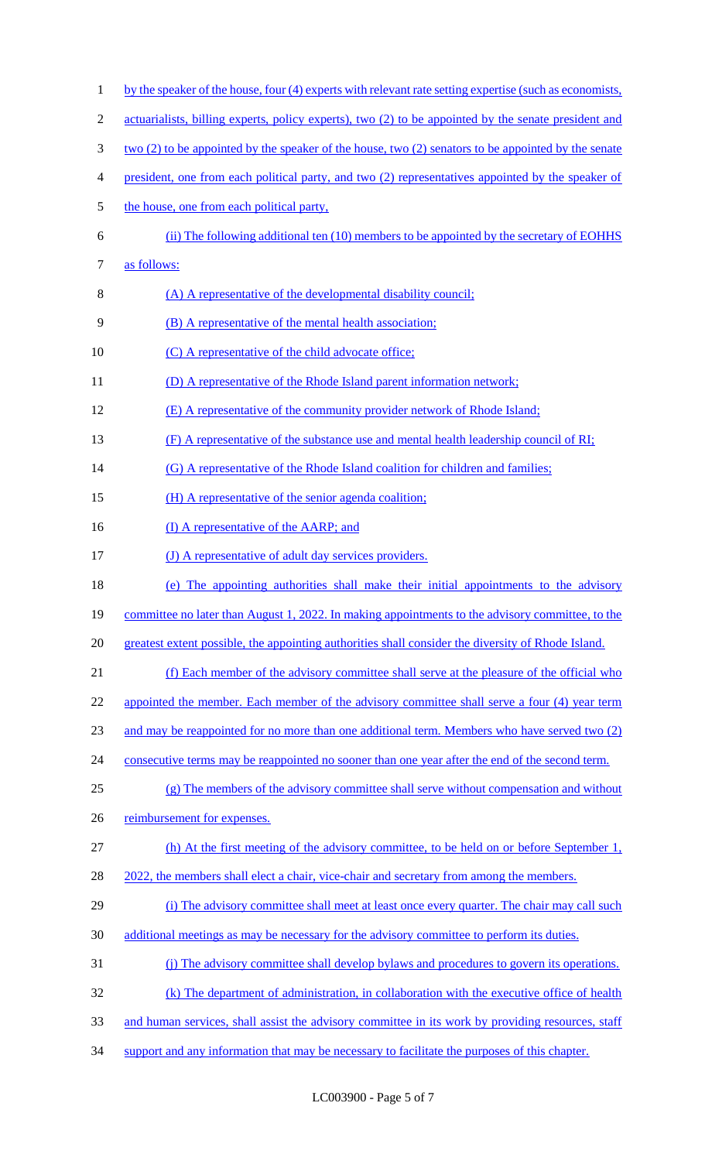1 by the speaker of the house, four (4) experts with relevant rate setting expertise (such as economists, 2 actuarialists, billing experts, policy experts), two (2) to be appointed by the senate president and 3 two (2) to be appointed by the speaker of the house, two (2) senators to be appointed by the senate 4 president, one from each political party, and two (2) representatives appointed by the speaker of 5 the house, one from each political party, 6 (ii) The following additional ten (10) members to be appointed by the secretary of EOHHS 7 as follows: 8 (A) A representative of the developmental disability council; 9 **(B)** A representative of the mental health association; 10 (C) A representative of the child advocate office; 11 (D) A representative of the Rhode Island parent information network; 12 (E) A representative of the community provider network of Rhode Island; 13 (F) A representative of the substance use and mental health leadership council of RI; 14 (G) A representative of the Rhode Island coalition for children and families; 15 (H) A representative of the senior agenda coalition; 16 (I) A representative of the AARP; and 17 (J) A representative of adult day services providers. 18 (e) The appointing authorities shall make their initial appointments to the advisory 19 committee no later than August 1, 2022. In making appointments to the advisory committee, to the 20 greatest extent possible, the appointing authorities shall consider the diversity of Rhode Island. 21 (f) Each member of the advisory committee shall serve at the pleasure of the official who 22 appointed the member. Each member of the advisory committee shall serve a four (4) year term 23 and may be reappointed for no more than one additional term. Members who have served two (2) 24 consecutive terms may be reappointed no sooner than one year after the end of the second term. 25 (g) The members of the advisory committee shall serve without compensation and without 26 reimbursement for expenses. 27 (h) At the first meeting of the advisory committee, to be held on or before September 1, 28 2022, the members shall elect a chair, vice-chair and secretary from among the members. 29 (i) The advisory committee shall meet at least once every quarter. The chair may call such 30 additional meetings as may be necessary for the advisory committee to perform its duties. 31 (j) The advisory committee shall develop bylaws and procedures to govern its operations. 32 (k) The department of administration, in collaboration with the executive office of health 33 and human services, shall assist the advisory committee in its work by providing resources, staff 34 support and any information that may be necessary to facilitate the purposes of this chapter.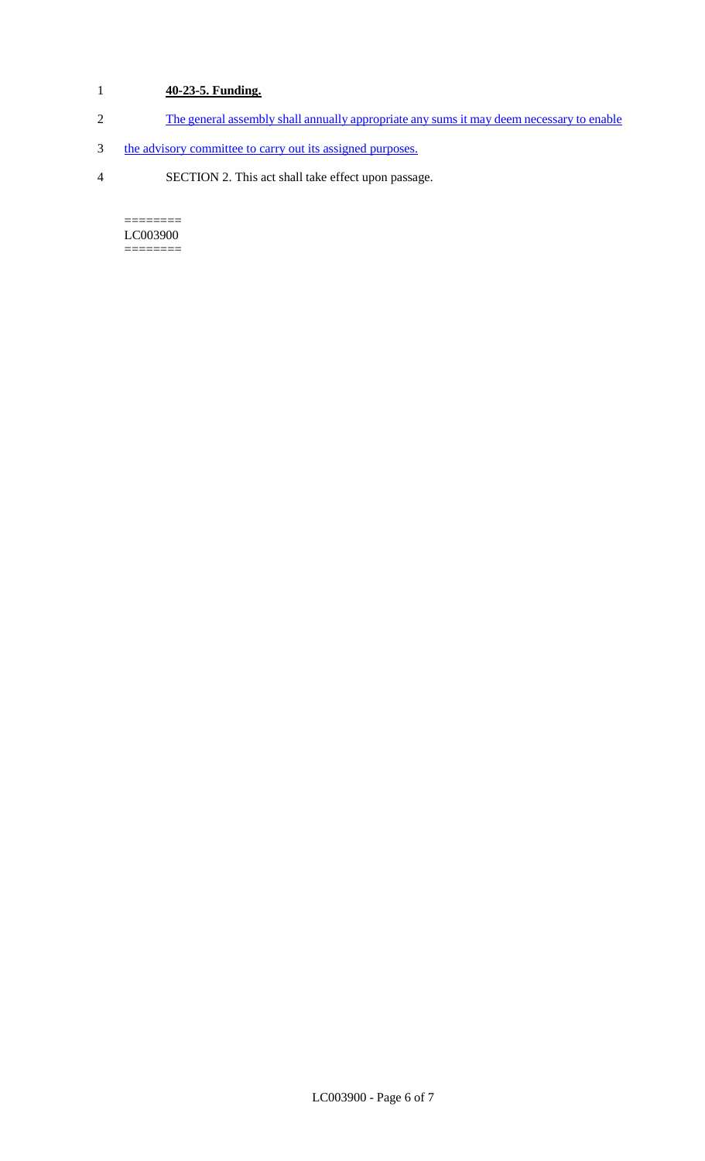## 1 **40-23-5. Funding.**

- 2 The general assembly shall annually appropriate any sums it may deem necessary to enable
- 3 the advisory committee to carry out its assigned purposes.
- 4 SECTION 2. This act shall take effect upon passage.

======== LC003900 ========